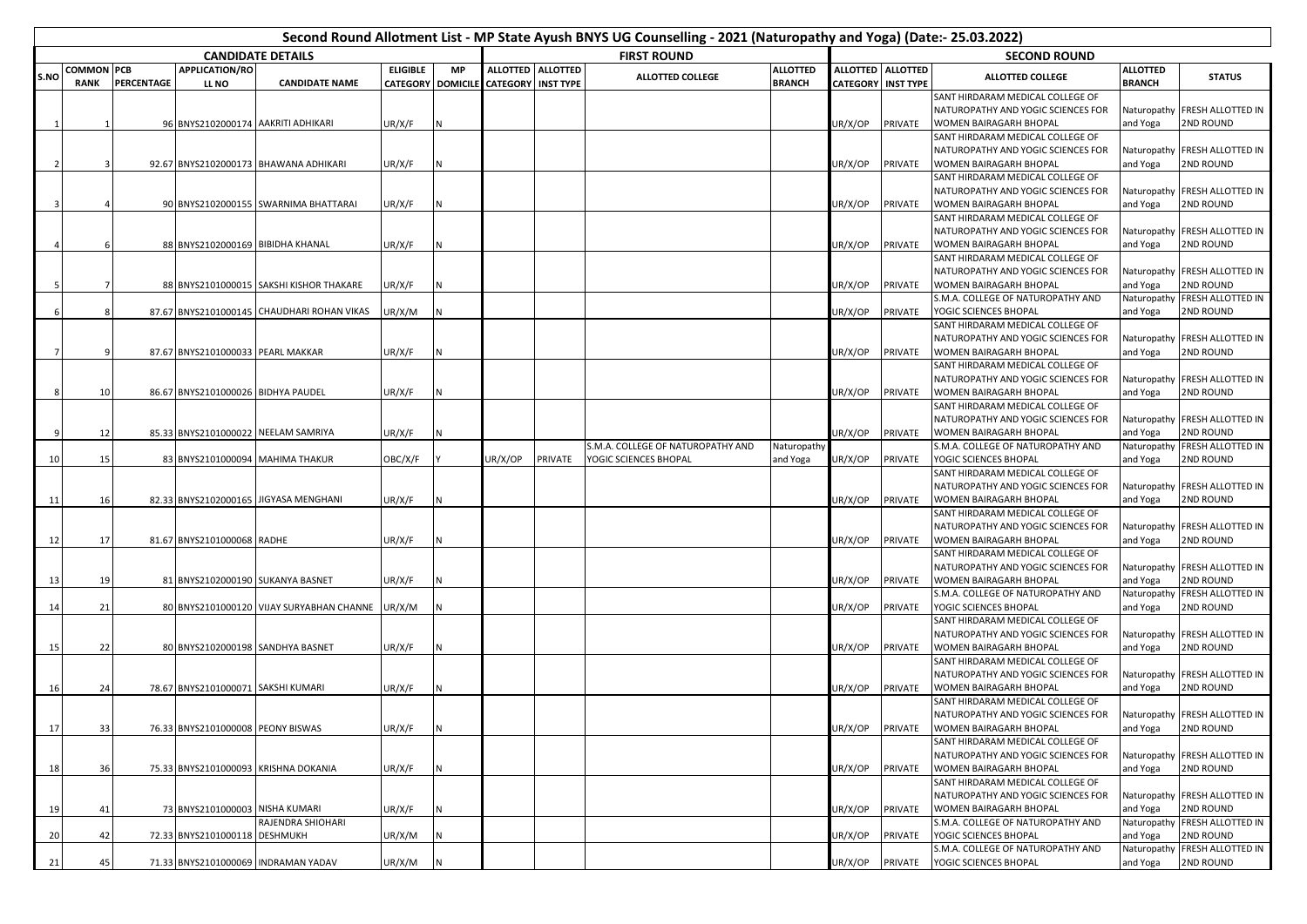| Second Round Allotment List - MP State Ayush BNYS UG Counselling - 2021 (Naturopathy and Yoga) (Date:- 25.03.2022) |                   |                   |                                     |                                                 |                 |           |                                      |                   |                                   |                 |                 |                           |                                                                        |                 |                               |  |  |
|--------------------------------------------------------------------------------------------------------------------|-------------------|-------------------|-------------------------------------|-------------------------------------------------|-----------------|-----------|--------------------------------------|-------------------|-----------------------------------|-----------------|-----------------|---------------------------|------------------------------------------------------------------------|-----------------|-------------------------------|--|--|
|                                                                                                                    |                   |                   |                                     | <b>CANDIDATE DETAILS</b>                        |                 |           | <b>FIRST ROUND</b>                   |                   |                                   |                 |                 | <b>SECOND ROUND</b>       |                                                                        |                 |                               |  |  |
| S.NO                                                                                                               | <b>COMMON PCB</b> |                   | APPLICATION/RO                      |                                                 | <b>ELIGIBLE</b> | <b>MP</b> |                                      | ALLOTTED ALLOTTED | <b>ALLOTTED COLLEGE</b>           | <b>ALLOTTED</b> | <b>ALLOTTED</b> | <b>ALLOTTED</b>           | ALLOTTED COLLEGE                                                       | <b>ALLOTTED</b> | <b>STATUS</b>                 |  |  |
|                                                                                                                    | <b>RANK</b>       | <b>PERCENTAGE</b> | LL NO                               | <b>CANDIDATE NAME</b>                           |                 |           | CATEGORY DOMICILE CATEGORY INST TYPE |                   |                                   | <b>BRANCH</b>   |                 | <b>CATEGORY INST TYPE</b> | SANT HIRDARAM MEDICAL COLLEGE OF                                       | <b>BRANCH</b>   |                               |  |  |
|                                                                                                                    |                   |                   |                                     |                                                 |                 |           |                                      |                   |                                   |                 |                 |                           | NATUROPATHY AND YOGIC SCIENCES FOR                                     |                 | Naturopathy FRESH ALLOTTED IN |  |  |
|                                                                                                                    |                   |                   | 96 BNYS2102000174 AAKRITI ADHIKARI  |                                                 | UR/X/F          |           |                                      |                   |                                   |                 | JR/X/OP         | PRIVATE                   | WOMEN BAIRAGARH BHOPAL                                                 | and Yoga        | 2ND ROUND                     |  |  |
|                                                                                                                    |                   |                   |                                     |                                                 |                 |           |                                      |                   |                                   |                 |                 |                           | SANT HIRDARAM MEDICAL COLLEGE OF                                       |                 |                               |  |  |
|                                                                                                                    |                   |                   |                                     |                                                 |                 |           |                                      |                   |                                   |                 |                 |                           | NATUROPATHY AND YOGIC SCIENCES FOR                                     |                 | Naturopathy FRESH ALLOTTED IN |  |  |
|                                                                                                                    |                   |                   |                                     | 92.67 BNYS2102000173 BHAWANA ADHIKARI           | UR/X/F          |           |                                      |                   |                                   |                 | JR/X/OP         | PRIVATE                   | WOMEN BAIRAGARH BHOPAL                                                 | and Yoga        | 2ND ROUND                     |  |  |
|                                                                                                                    |                   |                   |                                     |                                                 |                 |           |                                      |                   |                                   |                 |                 |                           | SANT HIRDARAM MEDICAL COLLEGE OF                                       |                 |                               |  |  |
|                                                                                                                    |                   |                   |                                     |                                                 |                 |           |                                      |                   |                                   |                 |                 |                           | NATUROPATHY AND YOGIC SCIENCES FOR                                     |                 | Naturopathy FRESH ALLOTTED IN |  |  |
|                                                                                                                    |                   |                   |                                     | 90 BNYS2102000155 SWARNIMA BHATTARAI            | UR/X/F          |           |                                      |                   |                                   |                 | JR/X/OP         | PRIVATE                   | WOMEN BAIRAGARH BHOPAL                                                 | and Yoga        | 2ND ROUND                     |  |  |
|                                                                                                                    |                   |                   |                                     |                                                 |                 |           |                                      |                   |                                   |                 |                 |                           | SANT HIRDARAM MEDICAL COLLEGE OF                                       |                 |                               |  |  |
|                                                                                                                    |                   |                   |                                     |                                                 |                 |           |                                      |                   |                                   |                 |                 |                           | NATUROPATHY AND YOGIC SCIENCES FOR                                     |                 | Naturopathy FRESH ALLOTTED IN |  |  |
|                                                                                                                    |                   |                   | 88 BNYS2102000169 BIBIDHA KHANAL    |                                                 | UR/X/F          |           |                                      |                   |                                   |                 | JR/X/OP         | PRIVATE                   | WOMEN BAIRAGARH BHOPAL                                                 | and Yoga        | 2ND ROUND                     |  |  |
|                                                                                                                    |                   |                   |                                     |                                                 |                 |           |                                      |                   |                                   |                 |                 |                           | SANT HIRDARAM MEDICAL COLLEGE OF                                       |                 |                               |  |  |
|                                                                                                                    |                   |                   |                                     |                                                 |                 |           |                                      |                   |                                   |                 |                 |                           | NATUROPATHY AND YOGIC SCIENCES FOR                                     |                 | Naturopathy FRESH ALLOTTED IN |  |  |
|                                                                                                                    |                   |                   |                                     | 88 BNYS2101000015 SAKSHI KISHOR THAKARE         | UR/X/F          |           |                                      |                   |                                   |                 | JR/X/OP         | PRIVATE                   | WOMEN BAIRAGARH BHOPAL                                                 | and Yoga        | 2ND ROUND                     |  |  |
|                                                                                                                    |                   |                   |                                     |                                                 |                 |           |                                      |                   |                                   |                 |                 |                           | S.M.A. COLLEGE OF NATUROPATHY AND                                      | Naturopathy     | FRESH ALLOTTED IN             |  |  |
|                                                                                                                    | 8                 |                   |                                     | 87.67 BNYS2101000145 CHAUDHARI ROHAN VIKAS      | UR/X/M          |           |                                      |                   |                                   |                 | JR/X/OP         | PRIVATE                   | YOGIC SCIENCES BHOPAL                                                  | and Yoga        | 2ND ROUND                     |  |  |
|                                                                                                                    |                   |                   |                                     |                                                 |                 |           |                                      |                   |                                   |                 |                 |                           | SANT HIRDARAM MEDICAL COLLEGE OF                                       |                 |                               |  |  |
|                                                                                                                    |                   |                   |                                     |                                                 |                 |           |                                      |                   |                                   |                 |                 |                           | NATUROPATHY AND YOGIC SCIENCES FOR                                     | Naturopathy     | FRESH ALLOTTED IN             |  |  |
|                                                                                                                    |                   |                   | 87.67 BNYS2101000033 PEARL MAKKAR   |                                                 | UR/X/F          |           |                                      |                   |                                   |                 | JR/X/OP         | PRIVATE                   | WOMEN BAIRAGARH BHOPAL                                                 | and Yoga        | 2ND ROUND                     |  |  |
|                                                                                                                    |                   |                   |                                     |                                                 |                 |           |                                      |                   |                                   |                 |                 |                           | SANT HIRDARAM MEDICAL COLLEGE OF                                       |                 |                               |  |  |
|                                                                                                                    |                   |                   |                                     |                                                 |                 |           |                                      |                   |                                   |                 |                 |                           | NATUROPATHY AND YOGIC SCIENCES FOR                                     |                 | Naturopathy FRESH ALLOTTED IN |  |  |
|                                                                                                                    | 10                |                   | 86.67 BNYS2101000026 BIDHYA PAUDEL  |                                                 | UR/X/F          |           |                                      |                   |                                   |                 | JR/X/OP         | PRIVATE                   | WOMEN BAIRAGARH BHOPAL                                                 | and Yoga        | 2ND ROUND                     |  |  |
|                                                                                                                    |                   |                   |                                     |                                                 |                 |           |                                      |                   |                                   |                 |                 |                           | SANT HIRDARAM MEDICAL COLLEGE OF                                       |                 |                               |  |  |
|                                                                                                                    |                   |                   |                                     |                                                 |                 |           |                                      |                   |                                   |                 |                 |                           | NATUROPATHY AND YOGIC SCIENCES FOR                                     |                 | Naturopathy FRESH ALLOTTED IN |  |  |
|                                                                                                                    | 12                |                   | 85.33 BNYS2101000022 NEELAM SAMRIYA |                                                 | UR/X/F          |           |                                      |                   |                                   |                 | JR/X/OP         | PRIVATE                   | WOMEN BAIRAGARH BHOPAL                                                 | and Yoga        | 2ND ROUND                     |  |  |
|                                                                                                                    |                   |                   |                                     |                                                 |                 |           |                                      |                   | S.M.A. COLLEGE OF NATUROPATHY AND | Naturopathy     |                 |                           | S.M.A. COLLEGE OF NATUROPATHY AND                                      | Naturopathy     | FRESH ALLOTTED IN             |  |  |
| 10                                                                                                                 | 15                |                   | 83 BNYS2101000094 MAHIMA THAKUR     |                                                 | OBC/X/F         |           | UR/X/OP                              | PRIVATE           | YOGIC SCIENCES BHOPAL             | and Yoga        | JR/X/OP         | PRIVATE                   | YOGIC SCIENCES BHOPAL                                                  | and Yoga        | 2ND ROUND                     |  |  |
|                                                                                                                    |                   |                   |                                     |                                                 |                 |           |                                      |                   |                                   |                 |                 |                           | SANT HIRDARAM MEDICAL COLLEGE OF                                       |                 |                               |  |  |
|                                                                                                                    |                   |                   |                                     |                                                 |                 |           |                                      |                   |                                   |                 |                 |                           | NATUROPATHY AND YOGIC SCIENCES FOR                                     |                 | Naturopathy FRESH ALLOTTED IN |  |  |
| 11                                                                                                                 | <b>16</b>         |                   |                                     | 82.33 BNYS2102000165 JIGYASA MENGHANI           | UR/X/F          |           |                                      |                   |                                   |                 | JR/X/OP         | PRIVATE                   | WOMEN BAIRAGARH BHOPAL                                                 | and Yoga        | 2ND ROUND                     |  |  |
|                                                                                                                    |                   |                   |                                     |                                                 |                 |           |                                      |                   |                                   |                 |                 |                           | SANT HIRDARAM MEDICAL COLLEGE OF                                       |                 |                               |  |  |
|                                                                                                                    |                   |                   |                                     |                                                 |                 |           |                                      |                   |                                   |                 |                 |                           | NATUROPATHY AND YOGIC SCIENCES FOR                                     | Naturopathy     | FRESH ALLOTTED IN             |  |  |
| 12                                                                                                                 | 17                |                   | 81.67 BNYS2101000068 RADHE          |                                                 | UR/X/F          |           |                                      |                   |                                   |                 | JR/X/OP         | PRIVATE                   | WOMEN BAIRAGARH BHOPAL                                                 | and Yoga        | 2ND ROUND                     |  |  |
|                                                                                                                    |                   |                   |                                     |                                                 |                 |           |                                      |                   |                                   |                 |                 |                           | SANT HIRDARAM MEDICAL COLLEGE OF<br>NATUROPATHY AND YOGIC SCIENCES FOR |                 | Naturopathy FRESH ALLOTTED IN |  |  |
| 13                                                                                                                 | 19                |                   | 81 BNYS2102000190 SUKANYA BASNET    |                                                 | UR/X/F          |           |                                      |                   |                                   |                 | JR/X/OP         | PRIVATE                   | WOMEN BAIRAGARH BHOPAL                                                 | and Yoga        | 2ND ROUND                     |  |  |
|                                                                                                                    |                   |                   |                                     |                                                 |                 |           |                                      |                   |                                   |                 |                 |                           | S.M.A. COLLEGE OF NATUROPATHY AND                                      | Naturopathy     | FRESH ALLOTTED IN             |  |  |
| 14                                                                                                                 | 21                |                   |                                     | 80 BNYS2101000120 VIJAY SURYABHAN CHANNE UR/X/M |                 |           |                                      |                   |                                   |                 | JR/X/OP         | PRIVATE                   | YOGIC SCIENCES BHOPAL                                                  | and Yoga        | 2ND ROUND                     |  |  |
|                                                                                                                    |                   |                   |                                     |                                                 |                 |           |                                      |                   |                                   |                 |                 |                           | SANT HIRDARAM MEDICAL COLLEGE OF                                       |                 |                               |  |  |
|                                                                                                                    |                   |                   |                                     |                                                 |                 |           |                                      |                   |                                   |                 |                 |                           | NATUROPATHY AND YOGIC SCIENCES FOR                                     |                 | Naturopathy FRESH ALLOTTED IN |  |  |
| 15                                                                                                                 | 22                |                   | 80 BNYS2102000198 SANDHYA BASNET    |                                                 | UR/X/F          |           |                                      |                   |                                   |                 | JR/X/OP         | PRIVATE                   | WOMEN BAIRAGARH BHOPAL                                                 | and Yoga        | 2ND ROUND                     |  |  |
|                                                                                                                    |                   |                   |                                     |                                                 |                 |           |                                      |                   |                                   |                 |                 |                           | SANT HIRDARAM MEDICAL COLLEGE OF                                       |                 |                               |  |  |
|                                                                                                                    |                   |                   |                                     |                                                 |                 |           |                                      |                   |                                   |                 |                 |                           | NATUROPATHY AND YOGIC SCIENCES FOR                                     |                 | Naturopathy FRESH ALLOTTED IN |  |  |
| 16                                                                                                                 | 24                |                   | 78.67 BNYS2101000071 SAKSHI KUMARI  |                                                 | UR/X/F          |           |                                      |                   |                                   |                 | JR/X/OP         | PRIVATE                   | WOMEN BAIRAGARH BHOPAL                                                 | and Yoga        | 2ND ROUND                     |  |  |
|                                                                                                                    |                   |                   |                                     |                                                 |                 |           |                                      |                   |                                   |                 |                 |                           | SANT HIRDARAM MEDICAL COLLEGE OF                                       |                 |                               |  |  |
|                                                                                                                    |                   |                   |                                     |                                                 |                 |           |                                      |                   |                                   |                 |                 |                           | NATUROPATHY AND YOGIC SCIENCES FOR                                     |                 | Naturopathy FRESH ALLOTTED IN |  |  |
| -171                                                                                                               | -331              |                   | 76.33 BNYS2101000008 PEONY BISWAS   |                                                 | UR/X/F          | IN        |                                      |                   |                                   |                 | UR/X/OP         |                           | PRIVATE   WOMEN BAIRAGARH BHOPAL                                       | and Yoga        | <b>2ND ROUND</b>              |  |  |
|                                                                                                                    |                   |                   |                                     |                                                 |                 |           |                                      |                   |                                   |                 |                 |                           | SANT HIRDARAM MEDICAL COLLEGE OF                                       |                 |                               |  |  |
|                                                                                                                    |                   |                   |                                     |                                                 |                 |           |                                      |                   |                                   |                 |                 |                           | NATUROPATHY AND YOGIC SCIENCES FOR                                     |                 | Naturopathy FRESH ALLOTTED IN |  |  |
| 18                                                                                                                 | 36                |                   |                                     | 75.33 BNYS2101000093 KRISHNA DOKANIA            | UR/X/F          |           |                                      |                   |                                   |                 | JR/X/OP         | PRIVATE                   | WOMEN BAIRAGARH BHOPAL                                                 | and Yoga        | 2ND ROUND                     |  |  |
|                                                                                                                    |                   |                   |                                     |                                                 |                 |           |                                      |                   |                                   |                 |                 |                           | SANT HIRDARAM MEDICAL COLLEGE OF                                       |                 |                               |  |  |
|                                                                                                                    |                   |                   |                                     |                                                 |                 |           |                                      |                   |                                   |                 |                 |                           | NATUROPATHY AND YOGIC SCIENCES FOR                                     |                 | Naturopathy FRESH ALLOTTED IN |  |  |
| 19                                                                                                                 | 41                |                   | 73 BNYS2101000003 NISHA KUMARI      |                                                 | UR/X/F          |           |                                      |                   |                                   |                 | JR/X/OP         | PRIVATE                   | WOMEN BAIRAGARH BHOPAL                                                 | and Yoga        | 2ND ROUND                     |  |  |
|                                                                                                                    |                   |                   |                                     | RAJENDRA SHIOHARI                               |                 |           |                                      |                   |                                   |                 |                 |                           | S.M.A. COLLEGE OF NATUROPATHY AND                                      |                 | Naturopathy FRESH ALLOTTED IN |  |  |
| 20                                                                                                                 | 42                |                   | 72.33 BNYS2101000118 DESHMUKH       |                                                 | UR/X/M          |           |                                      |                   |                                   |                 | JR/X/OP         | PRIVATE                   | YOGIC SCIENCES BHOPAL                                                  | and Yoga        | 2ND ROUND                     |  |  |
|                                                                                                                    |                   |                   |                                     |                                                 |                 |           |                                      |                   |                                   |                 |                 |                           | S.M.A. COLLEGE OF NATUROPATHY AND                                      |                 | Naturopathy FRESH ALLOTTED IN |  |  |
| 21                                                                                                                 | 45                |                   |                                     | 71.33 BNYS2101000069 INDRAMAN YADAV             | UR/X/M          |           |                                      |                   |                                   |                 | UR/X/OP         | PRIVATE                   | YOGIC SCIENCES BHOPAL                                                  | and Yoga        | 2ND ROUND                     |  |  |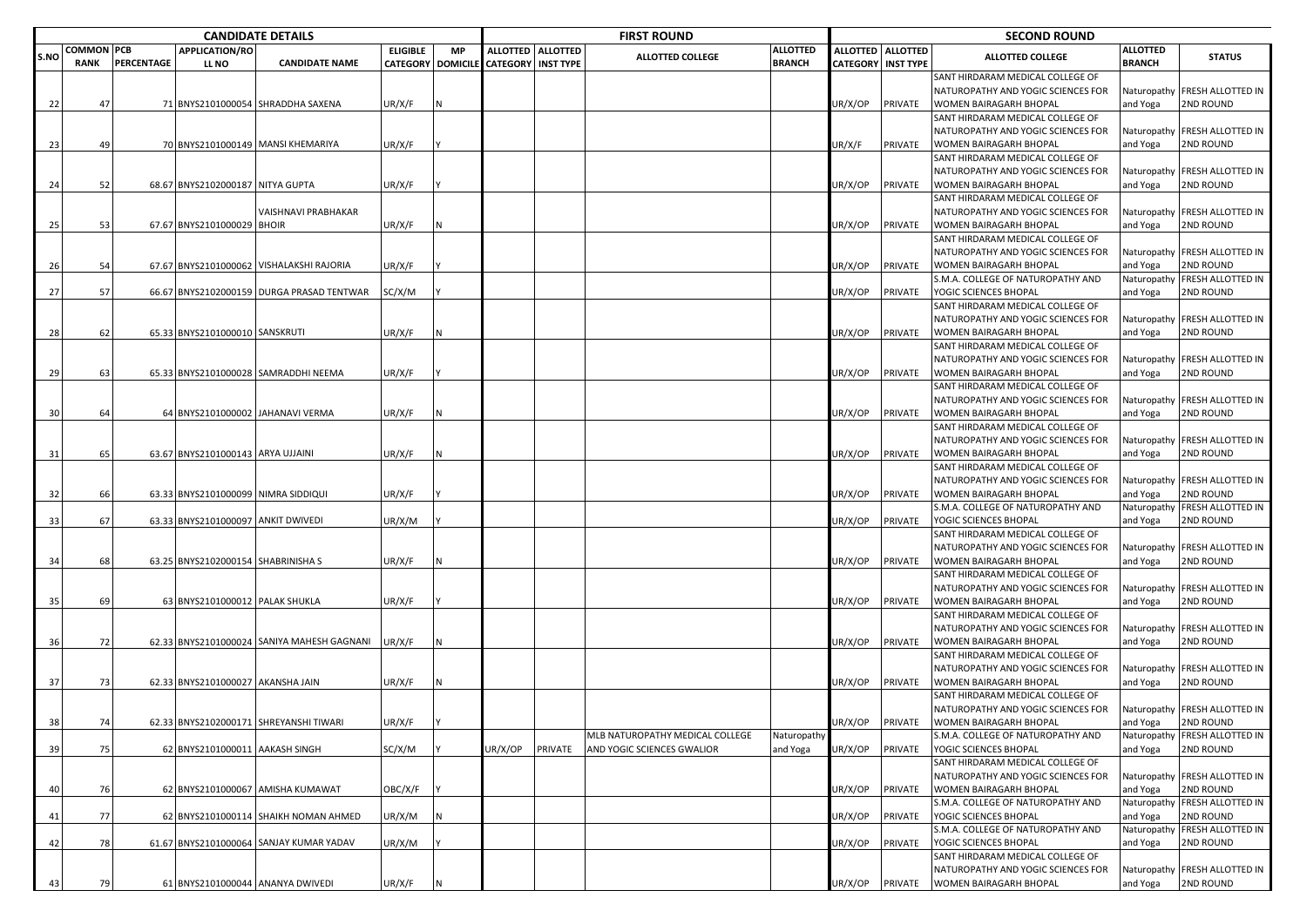|      |                   |            |                                     | <b>CANDIDATE DETAILS</b>                   |                          |           | <b>FIRST ROUND</b>          |                     |                                 |                 |                 | <b>SECOND ROUND</b>         |                                                                        |                 |                               |  |  |
|------|-------------------|------------|-------------------------------------|--------------------------------------------|--------------------------|-----------|-----------------------------|---------------------|---------------------------------|-----------------|-----------------|-----------------------------|------------------------------------------------------------------------|-----------------|-------------------------------|--|--|
| S.NO | <b>COMMON PCB</b> |            | <b>APPLICATION/RO</b>               |                                            | <b>ELIGIBLE</b>          | <b>MP</b> |                             | ALLOTTED   ALLOTTED | <b>ALLOTTED COLLEGE</b>         | <b>ALLOTTED</b> | <b>ALLOTTED</b> | <b>ALLOTTED</b>             | <b>ALLOTTED COLLEGE</b>                                                | <b>ALLOTTED</b> | <b>STATUS</b>                 |  |  |
|      | <b>RANK</b>       | PERCENTAGE | LL NO                               | <b>CANDIDATE NAME</b>                      | <b>CATEGORY DOMICILE</b> |           | <b>CATEGORY   INST TYPE</b> |                     |                                 | <b>BRANCH</b>   |                 | <b>CATEGORY   INST TYPE</b> |                                                                        | <b>BRANCH</b>   |                               |  |  |
|      |                   |            |                                     |                                            |                          |           |                             |                     |                                 |                 |                 |                             | SANT HIRDARAM MEDICAL COLLEGE OF<br>NATUROPATHY AND YOGIC SCIENCES FOR |                 | Naturopathy FRESH ALLOTTED IN |  |  |
| 22   | -47               |            |                                     | 71 BNYS2101000054 SHRADDHA SAXENA          | UR/X/F                   |           |                             |                     |                                 |                 | JR/X/OP         | PRIVATE                     | WOMEN BAIRAGARH BHOPAL                                                 | and Yoga        | 2ND ROUND                     |  |  |
|      |                   |            |                                     |                                            |                          |           |                             |                     |                                 |                 |                 |                             | SANT HIRDARAM MEDICAL COLLEGE OF                                       |                 |                               |  |  |
|      |                   |            |                                     |                                            |                          |           |                             |                     |                                 |                 |                 |                             | NATUROPATHY AND YOGIC SCIENCES FOR                                     |                 | Naturopathy FRESH ALLOTTED IN |  |  |
| 23   | 49                |            |                                     | 70 BNYS2101000149 MANSI KHEMARIYA          | UR/X/F                   |           |                             |                     |                                 |                 | JR/X/F          | PRIVATE                     | WOMEN BAIRAGARH BHOPAL                                                 | and Yoga        | <b>2ND ROUND</b>              |  |  |
|      |                   |            |                                     |                                            |                          |           |                             |                     |                                 |                 |                 |                             | SANT HIRDARAM MEDICAL COLLEGE OF                                       |                 |                               |  |  |
|      |                   |            |                                     |                                            |                          |           |                             |                     |                                 |                 |                 |                             | NATUROPATHY AND YOGIC SCIENCES FOR                                     | Naturopathy     | <b>FRESH ALLOTTED IN</b>      |  |  |
| 24   | 52                |            | 68.67 BNYS2102000187 NITYA GUPTA    |                                            | UR/X/F                   |           |                             |                     |                                 |                 | JR/X/OP         | PRIVATE                     | <b>WOMEN BAIRAGARH BHOPAL</b>                                          | and Yoga        | 2ND ROUND                     |  |  |
|      |                   |            |                                     |                                            |                          |           |                             |                     |                                 |                 |                 |                             | SANT HIRDARAM MEDICAL COLLEGE OF                                       |                 |                               |  |  |
|      |                   |            |                                     | <b>VAISHNAVI PRABHAKAR</b>                 |                          |           |                             |                     |                                 |                 |                 |                             | NATUROPATHY AND YOGIC SCIENCES FOR                                     | Naturopathy     | <b>FRESH ALLOTTED IN</b>      |  |  |
| 25   | 53                |            | 67.67 BNYS2101000029 BHOIR          |                                            | UR/X/F                   |           |                             |                     |                                 |                 | JR/X/OP         | PRIVATE                     | WOMEN BAIRAGARH BHOPAL                                                 | and Yoga        | 2ND ROUND                     |  |  |
|      |                   |            |                                     |                                            |                          |           |                             |                     |                                 |                 |                 |                             | SANT HIRDARAM MEDICAL COLLEGE OF                                       |                 |                               |  |  |
|      |                   |            |                                     |                                            |                          |           |                             |                     |                                 |                 |                 |                             | NATUROPATHY AND YOGIC SCIENCES FOR                                     |                 | Naturopathy FRESH ALLOTTED IN |  |  |
|      |                   |            |                                     |                                            |                          |           |                             |                     |                                 |                 |                 |                             |                                                                        | and Yoga        | 2ND ROUND                     |  |  |
| 26   | 54                |            |                                     | 67.67 BNYS2101000062 VISHALAKSHI RAJORIA   | UR/X/F                   |           |                             |                     |                                 |                 | JR/X/OP         | PRIVATE                     | WOMEN BAIRAGARH BHOPAL                                                 |                 | <b>FRESH ALLOTTED IN</b>      |  |  |
|      |                   |            |                                     |                                            |                          |           |                             |                     |                                 |                 |                 |                             | S.M.A. COLLEGE OF NATUROPATHY AND                                      | Naturopathy     |                               |  |  |
| 27   | 57                |            |                                     | 66.67 BNYS2102000159 DURGA PRASAD TENTWAR  | SC/X/M                   |           |                             |                     |                                 |                 | JR/X/OP         | PRIVATE                     | YOGIC SCIENCES BHOPAL                                                  | and Yoga        | 2ND ROUND                     |  |  |
|      |                   |            |                                     |                                            |                          |           |                             |                     |                                 |                 |                 |                             | SANT HIRDARAM MEDICAL COLLEGE OF                                       |                 |                               |  |  |
|      |                   |            |                                     |                                            |                          |           |                             |                     |                                 |                 |                 |                             | NATUROPATHY AND YOGIC SCIENCES FOR                                     | Naturopathy     | <b>FRESH ALLOTTED IN</b>      |  |  |
| 28   | 62                |            | 65.33 BNYS2101000010 SANSKRUTI      |                                            | UR/X/F                   |           |                             |                     |                                 |                 | JR/X/OP         | PRIVATE                     | WOMEN BAIRAGARH BHOPAL                                                 | and Yoga        | <b>2ND ROUND</b>              |  |  |
|      |                   |            |                                     |                                            |                          |           |                             |                     |                                 |                 |                 |                             | SANT HIRDARAM MEDICAL COLLEGE OF                                       |                 |                               |  |  |
|      |                   |            |                                     |                                            |                          |           |                             |                     |                                 |                 |                 |                             | NATUROPATHY AND YOGIC SCIENCES FOR                                     | Naturopathy     | <b>FRESH ALLOTTED IN</b>      |  |  |
| 29   | 63                |            |                                     | 65.33 BNYS2101000028 SAMRADDHI NEEMA       | UR/X/F                   |           |                             |                     |                                 |                 | JR/X/OP         | PRIVATE                     | WOMEN BAIRAGARH BHOPAL                                                 | and Yoga        | 2ND ROUND                     |  |  |
|      |                   |            |                                     |                                            |                          |           |                             |                     |                                 |                 |                 |                             | SANT HIRDARAM MEDICAL COLLEGE OF                                       |                 |                               |  |  |
|      |                   |            |                                     |                                            |                          |           |                             |                     |                                 |                 |                 |                             | NATUROPATHY AND YOGIC SCIENCES FOR                                     |                 | Naturopathy FRESH ALLOTTED IN |  |  |
| 30   | 64                |            |                                     | 64 BNYS2101000002 JAHANAVI VERMA           | UR/X/F                   |           |                             |                     |                                 |                 | JR/X/OP         | PRIVATE                     | WOMEN BAIRAGARH BHOPAL                                                 | and Yoga        | 2ND ROUND                     |  |  |
|      |                   |            |                                     |                                            |                          |           |                             |                     |                                 |                 |                 |                             | SANT HIRDARAM MEDICAL COLLEGE OF                                       |                 |                               |  |  |
|      |                   |            |                                     |                                            |                          |           |                             |                     |                                 |                 |                 |                             | NATUROPATHY AND YOGIC SCIENCES FOR                                     | Naturopathy     | <b>FRESH ALLOTTED IN</b>      |  |  |
| 31   | 65                |            | 63.67 BNYS2101000143 ARYA UJJAINI   |                                            | UR/X/F                   |           |                             |                     |                                 |                 | UR/X/OP         | PRIVATE                     | WOMEN BAIRAGARH BHOPAL                                                 | and Yoga        | <b>2ND ROUND</b>              |  |  |
|      |                   |            |                                     |                                            |                          |           |                             |                     |                                 |                 |                 |                             | SANT HIRDARAM MEDICAL COLLEGE OF                                       |                 |                               |  |  |
|      |                   |            |                                     |                                            |                          |           |                             |                     |                                 |                 |                 |                             | NATUROPATHY AND YOGIC SCIENCES FOR                                     |                 | Naturopathy FRESH ALLOTTED IN |  |  |
| 32   | 66                |            | 63.33 BNYS2101000099 NIMRA SIDDIQUI |                                            | UR/X/F                   |           |                             |                     |                                 |                 | JR/X/OP         | PRIVATE                     | WOMEN BAIRAGARH BHOPAL                                                 | and Yoga        | 2ND ROUND                     |  |  |
|      |                   |            |                                     |                                            |                          |           |                             |                     |                                 |                 |                 |                             | S.M.A. COLLEGE OF NATUROPATHY AND                                      | Naturopathy     | FRESH ALLOTTED IN             |  |  |
| 33   | 67                |            | 63.33 BNYS2101000097 ANKIT DWIVEDI  |                                            | UR/X/M                   |           |                             |                     |                                 |                 | JR/X/OP         | PRIVATE                     | YOGIC SCIENCES BHOPAL                                                  | and Yoga        | <b>2ND ROUND</b>              |  |  |
|      |                   |            |                                     |                                            |                          |           |                             |                     |                                 |                 |                 |                             | SANT HIRDARAM MEDICAL COLLEGE OF                                       |                 |                               |  |  |
|      |                   |            |                                     |                                            |                          |           |                             |                     |                                 |                 |                 |                             | NATUROPATHY AND YOGIC SCIENCES FOR                                     | Naturopathy     | <b>FRESH ALLOTTED IN</b>      |  |  |
| 34   | 68                |            | 63.25 BNYS2102000154 SHABRINISHA S  |                                            | UR/X/F                   |           |                             |                     |                                 |                 | UR/X/OP         | PRIVATE                     | WOMEN BAIRAGARH BHOPAL                                                 | and Yoga        | 2ND ROUND                     |  |  |
|      |                   |            |                                     |                                            |                          |           |                             |                     |                                 |                 |                 |                             | SANT HIRDARAM MEDICAL COLLEGE OF                                       |                 |                               |  |  |
|      |                   |            |                                     |                                            |                          |           |                             |                     |                                 |                 |                 |                             | NATUROPATHY AND YOGIC SCIENCES FOR                                     |                 | Naturopathy FRESH ALLOTTED IN |  |  |
| 35   | 69                |            | 63 BNYS2101000012 PALAK SHUKLA      |                                            | UR/X/F                   |           |                             |                     |                                 |                 | JR/X/OP         | PRIVATE                     | WOMEN BAIRAGARH BHOPAL                                                 | and Yoga        | 2ND ROUND                     |  |  |
|      |                   |            |                                     |                                            |                          |           |                             |                     |                                 |                 |                 |                             | SANT HIRDARAM MEDICAL COLLEGE OF                                       |                 |                               |  |  |
|      |                   |            |                                     |                                            |                          |           |                             |                     |                                 |                 |                 |                             | NATUROPATHY AND YOGIC SCIENCES FOR                                     | Naturopathy     | FRESH ALLOTTED IN             |  |  |
| 36   | 72                |            |                                     | 62.33 BNYS2101000024 SANIYA MAHESH GAGNANI | UR/X/F                   |           |                             |                     |                                 |                 | JR/X/OP         | PRIVATE                     | WOMEN BAIRAGARH BHOPAL                                                 | and Yoga        | 2ND ROUND                     |  |  |
|      |                   |            |                                     |                                            |                          |           |                             |                     |                                 |                 |                 |                             | SANT HIRDARAM MEDICAL COLLEGE OF                                       |                 |                               |  |  |
|      |                   |            |                                     |                                            |                          |           |                             |                     |                                 |                 |                 |                             | NATUROPATHY AND YOGIC SCIENCES FOR                                     |                 | Naturopathy FRESH ALLOTTED IN |  |  |
| 37   | 73                |            | 62.33 BNYS2101000027 AKANSHA JAIN   |                                            | UR/X/F                   |           |                             |                     |                                 |                 | UR/X/OP         | PRIVATE                     | WOMEN BAIRAGARH BHOPAL                                                 | and Yoga        | 2ND ROUND                     |  |  |
|      |                   |            |                                     |                                            |                          |           |                             |                     |                                 |                 |                 |                             | SANT HIRDARAM MEDICAL COLLEGE OF                                       |                 |                               |  |  |
|      |                   |            |                                     |                                            |                          |           |                             |                     |                                 |                 |                 |                             | NATUROPATHY AND YOGIC SCIENCES FOR                                     |                 | Naturopathy FRESH ALLOTTED IN |  |  |
| 38   | 74                |            |                                     | 62.33 BNYS2102000171 SHREYANSHI TIWARI     | UR/X/F                   |           |                             |                     |                                 |                 | JR/X/OP PRIVATE |                             | <b>WOMEN BAIRAGARH BHOPAL</b>                                          | and Yoga        | <b>2ND ROUND</b>              |  |  |
|      |                   |            |                                     |                                            |                          |           |                             |                     | MLB NATUROPATHY MEDICAL COLLEGE | Naturopathy     |                 |                             | S.M.A. COLLEGE OF NATUROPATHY AND                                      |                 | Naturopathy FRESH ALLOTTED IN |  |  |
| 39   | 75                |            | 62 BNYS2101000011 AAKASH SINGH      |                                            | SC/X/M                   |           | JR/X/OP                     | PRIVATE             | AND YOGIC SCIENCES GWALIOR      | and Yoga        | JR/X/OP         | PRIVATE                     | YOGIC SCIENCES BHOPAL                                                  | and Yoga        | 2ND ROUND                     |  |  |
|      |                   |            |                                     |                                            |                          |           |                             |                     |                                 |                 |                 |                             | SANT HIRDARAM MEDICAL COLLEGE OF                                       |                 |                               |  |  |
|      |                   |            |                                     |                                            |                          |           |                             |                     |                                 |                 |                 |                             | NATUROPATHY AND YOGIC SCIENCES FOR                                     | Naturopathy     | FRESH ALLOTTED IN             |  |  |
| 40   | 76                |            |                                     | 62 BNYS2101000067 AMISHA KUMAWAT           | OBC/X/F                  |           |                             |                     |                                 |                 | JR/X/OP         | PRIVATE                     | WOMEN BAIRAGARH BHOPAL                                                 | and Yoga        | 2ND ROUND                     |  |  |
|      |                   |            |                                     |                                            |                          |           |                             |                     |                                 |                 |                 |                             | S.M.A. COLLEGE OF NATUROPATHY AND                                      | Naturopathy     | FRESH ALLOTTED IN             |  |  |
| 41   | 77                |            |                                     | 62 BNYS2101000114 SHAIKH NOMAN AHMED       | UR/X/M                   |           |                             |                     |                                 |                 | JR/X/OP         | PRIVATE                     | YOGIC SCIENCES BHOPAL                                                  | and Yoga        | 2ND ROUND                     |  |  |
|      |                   |            |                                     |                                            |                          |           |                             |                     |                                 |                 |                 |                             | S.M.A. COLLEGE OF NATUROPATHY AND                                      |                 | Naturopathy FRESH ALLOTTED IN |  |  |
| 42   | 78                |            |                                     | 61.67 BNYS2101000064 SANJAY KUMAR YADAV    | UR/X/M                   |           |                             |                     |                                 |                 | JR/X/OP         | PRIVATE                     | YOGIC SCIENCES BHOPAL                                                  | and Yoga        | 2ND ROUND                     |  |  |
|      |                   |            |                                     |                                            |                          |           |                             |                     |                                 |                 |                 |                             | SANT HIRDARAM MEDICAL COLLEGE OF                                       |                 |                               |  |  |
|      |                   |            |                                     |                                            |                          |           |                             |                     |                                 |                 |                 |                             | NATUROPATHY AND YOGIC SCIENCES FOR                                     | Naturopathy     | FRESH ALLOTTED IN             |  |  |
| 43   | 79                |            |                                     | 61 BNYS2101000044 ANANYA DWIVEDI           | UR/X/F                   |           |                             |                     |                                 |                 | UR/X/OP         | PRIVATE                     | WOMEN BAIRAGARH BHOPAL                                                 | and Yoga        | 2ND ROUND                     |  |  |